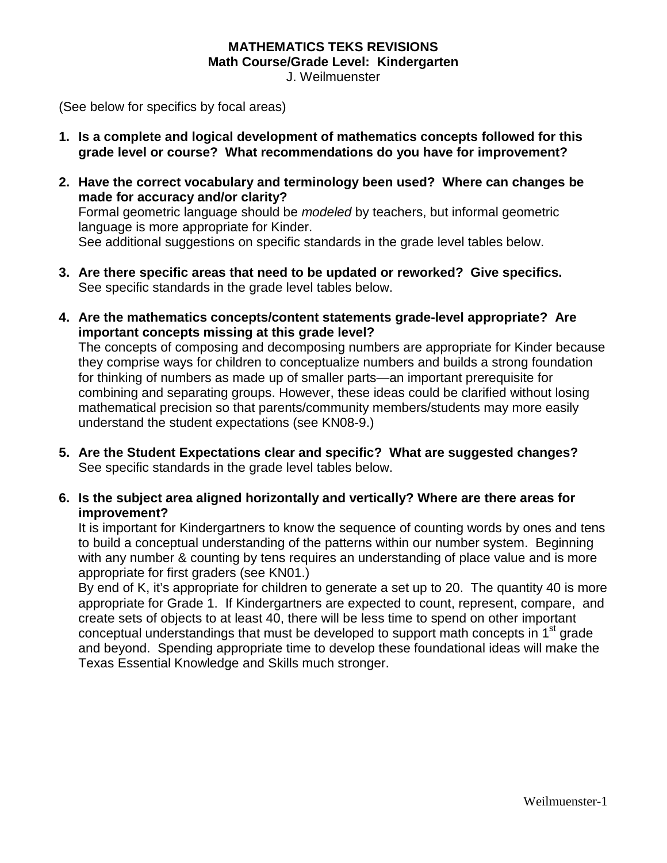## **MATHEMATICS TEKS REVISIONS Math Course/Grade Level: Kindergarten**

J. Weilmuenster

(See below for specifics by focal areas)

- **1. Is a complete and logical development of mathematics concepts followed for this grade level or course? What recommendations do you have for improvement?**
- **2. Have the correct vocabulary and terminology been used? Where can changes be made for accuracy and/or clarity?** Formal geometric language should be *modeled* by teachers, but informal geometric language is more appropriate for Kinder. See additional suggestions on specific standards in the grade level tables below.
- **3. Are there specific areas that need to be updated or reworked? Give specifics.** See specific standards in the grade level tables below.
- **4. Are the mathematics concepts/content statements grade-level appropriate? Are important concepts missing at this grade level?**

The concepts of composing and decomposing numbers are appropriate for Kinder because they comprise ways for children to conceptualize numbers and builds a strong foundation for thinking of numbers as made up of smaller parts—an important prerequisite for combining and separating groups. However, these ideas could be clarified without losing mathematical precision so that parents/community members/students may more easily understand the student expectations (see KN08-9.)

- **5. Are the Student Expectations clear and specific? What are suggested changes?** See specific standards in the grade level tables below.
- **6. Is the subject area aligned horizontally and vertically? Where are there areas for improvement?**

It is important for Kindergartners to know the sequence of counting words by ones and tens to build a conceptual understanding of the patterns within our number system. Beginning with any number & counting by tens requires an understanding of place value and is more appropriate for first graders (see KN01.)

By end of K, it's appropriate for children to generate a set up to 20. The quantity 40 is more appropriate for Grade 1. If Kindergartners are expected to count, represent, compare, and create sets of objects to at least 40, there will be less time to spend on other important conceptual understandings that must be developed to support math concepts in  $1<sup>st</sup>$  grade and beyond. Spending appropriate time to develop these foundational ideas will make the Texas Essential Knowledge and Skills much stronger.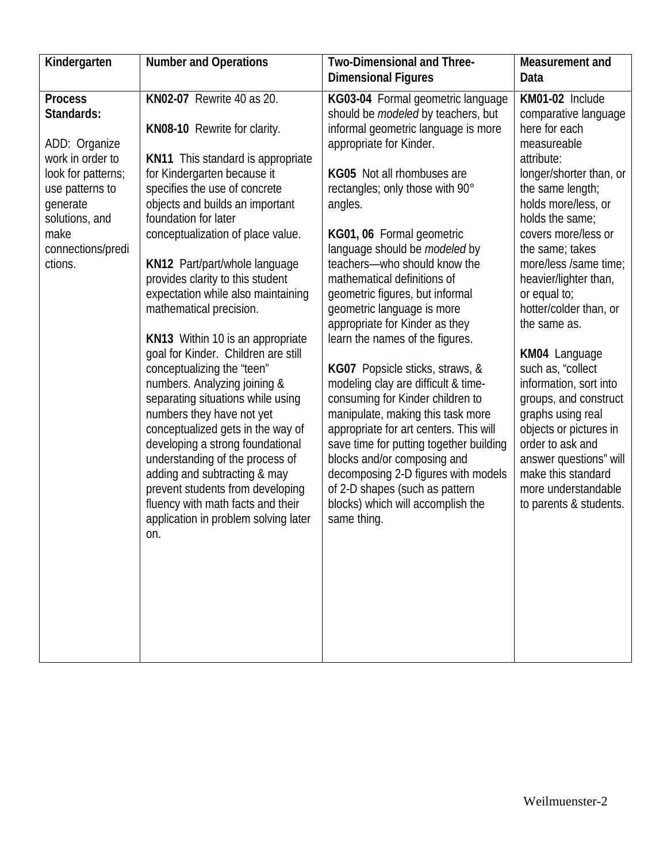| Kindergarten                                                                                                                                                                     | <b>Number and Operations</b>                                                                                                                                                                                                                                                                                                                                                                                                                                                                                                                                                                                                                                                                                                                                                                                                                                                               | Two-Dimensional and Three-<br><b>Dimensional Figures</b>                                                                                                                                                                                                                                                                                                                                                                                                                                                                                                                                                                                                                                                                                                                                                                                                                                            | Measurement and<br>Data                                                                                                                                                                                                                                                                                                                                                                                                                                                                                                                                                                           |
|----------------------------------------------------------------------------------------------------------------------------------------------------------------------------------|--------------------------------------------------------------------------------------------------------------------------------------------------------------------------------------------------------------------------------------------------------------------------------------------------------------------------------------------------------------------------------------------------------------------------------------------------------------------------------------------------------------------------------------------------------------------------------------------------------------------------------------------------------------------------------------------------------------------------------------------------------------------------------------------------------------------------------------------------------------------------------------------|-----------------------------------------------------------------------------------------------------------------------------------------------------------------------------------------------------------------------------------------------------------------------------------------------------------------------------------------------------------------------------------------------------------------------------------------------------------------------------------------------------------------------------------------------------------------------------------------------------------------------------------------------------------------------------------------------------------------------------------------------------------------------------------------------------------------------------------------------------------------------------------------------------|---------------------------------------------------------------------------------------------------------------------------------------------------------------------------------------------------------------------------------------------------------------------------------------------------------------------------------------------------------------------------------------------------------------------------------------------------------------------------------------------------------------------------------------------------------------------------------------------------|
| <b>Process</b><br>Standards:<br>ADD: Organize<br>work in order to<br>look for patterns;<br>use patterns to<br>generate<br>solutions, and<br>make<br>connections/predi<br>ctions. | KN02-07 Rewrite 40 as 20.<br>KN08-10 Rewrite for clarity.<br><b>KN11</b> This standard is appropriate<br>for Kindergarten because it<br>specifies the use of concrete<br>objects and builds an important<br>foundation for later<br>conceptualization of place value.<br>KN12 Part/part/whole language<br>provides clarity to this student<br>expectation while also maintaining<br>mathematical precision.<br>KN13 Within 10 is an appropriate<br>goal for Kinder. Children are still<br>conceptualizing the "teen"<br>numbers. Analyzing joining &<br>separating situations while using<br>numbers they have not yet<br>conceptualized gets in the way of<br>developing a strong foundational<br>understanding of the process of<br>adding and subtracting & may<br>prevent students from developing<br>fluency with math facts and their<br>application in problem solving later<br>on. | KG03-04 Formal geometric language<br>should be <i>modeled</i> by teachers, but<br>informal geometric language is more<br>appropriate for Kinder.<br>KG05 Not all rhombuses are<br>rectangles; only those with 90°<br>angles.<br>KG01, 06 Formal geometric<br>language should be modeled by<br>teachers-who should know the<br>mathematical definitions of<br>geometric figures, but informal<br>geometric language is more<br>appropriate for Kinder as they<br>learn the names of the figures.<br>KG07 Popsicle sticks, straws, &<br>modeling clay are difficult & time-<br>consuming for Kinder children to<br>manipulate, making this task more<br>appropriate for art centers. This will<br>save time for putting together building<br>blocks and/or composing and<br>decomposing 2-D figures with models<br>of 2-D shapes (such as pattern<br>blocks) which will accomplish the<br>same thing. | KM01-02 Include<br>comparative language<br>here for each<br>measureable<br>attribute:<br>longer/shorter than, or<br>the same length;<br>holds more/less, or<br>holds the same;<br>covers more/less or<br>the same; takes<br>more/less /same time;<br>heavier/lighter than,<br>or equal to;<br>hotter/colder than, or<br>the same as.<br>KM04 Language<br>such as, "collect<br>information, sort into<br>groups, and construct<br>graphs using real<br>objects or pictures in<br>order to ask and<br>answer questions" will<br>make this standard<br>more understandable<br>to parents & students. |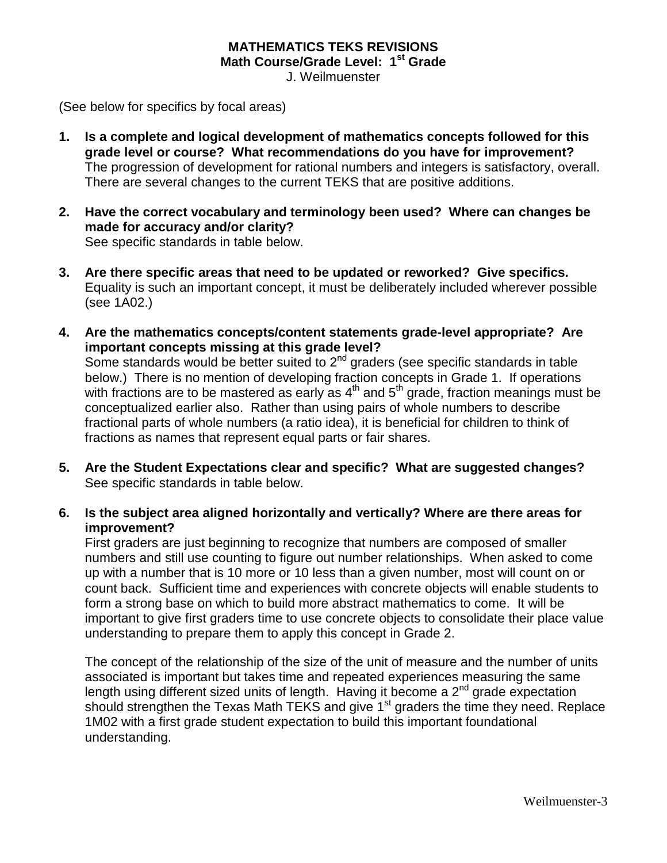### **MATHEMATICS TEKS REVISIONS Math Course/Grade Level: 1st Grade**

J. Weilmuenster

(See below for specifics by focal areas)

- **1. Is a complete and logical development of mathematics concepts followed for this grade level or course? What recommendations do you have for improvement?** The progression of development for rational numbers and integers is satisfactory, overall. There are several changes to the current TEKS that are positive additions.
- **2. Have the correct vocabulary and terminology been used? Where can changes be made for accuracy and/or clarity?** See specific standards in table below.
- **3. Are there specific areas that need to be updated or reworked? Give specifics.** Equality is such an important concept, it must be deliberately included wherever possible (see 1A02.)
- **4. Are the mathematics concepts/content statements grade-level appropriate? Are important concepts missing at this grade level?** Some standards would be better suited to  $2<sup>nd</sup>$  graders (see specific standards in table

below.) There is no mention of developing fraction concepts in Grade 1. If operations with fractions are to be mastered as early as  $4<sup>th</sup>$  and  $5<sup>th</sup>$  grade, fraction meanings must be conceptualized earlier also. Rather than using pairs of whole numbers to describe fractional parts of whole numbers (a ratio idea), it is beneficial for children to think of fractions as names that represent equal parts or fair shares.

- **5. Are the Student Expectations clear and specific? What are suggested changes?** See specific standards in table below.
- **6. Is the subject area aligned horizontally and vertically? Where are there areas for improvement?**

First graders are just beginning to recognize that numbers are composed of smaller numbers and still use counting to figure out number relationships. When asked to come up with a number that is 10 more or 10 less than a given number, most will count on or count back. Sufficient time and experiences with concrete objects will enable students to form a strong base on which to build more abstract mathematics to come. It will be important to give first graders time to use concrete objects to consolidate their place value understanding to prepare them to apply this concept in Grade 2.

The concept of the relationship of the size of the unit of measure and the number of units associated is important but takes time and repeated experiences measuring the same length using different sized units of length. Having it become a  $2<sup>nd</sup>$  grade expectation should strengthen the Texas Math TEKS and give  $1<sup>st</sup>$  graders the time they need. Replace 1M02 with a first grade student expectation to build this important foundational understanding.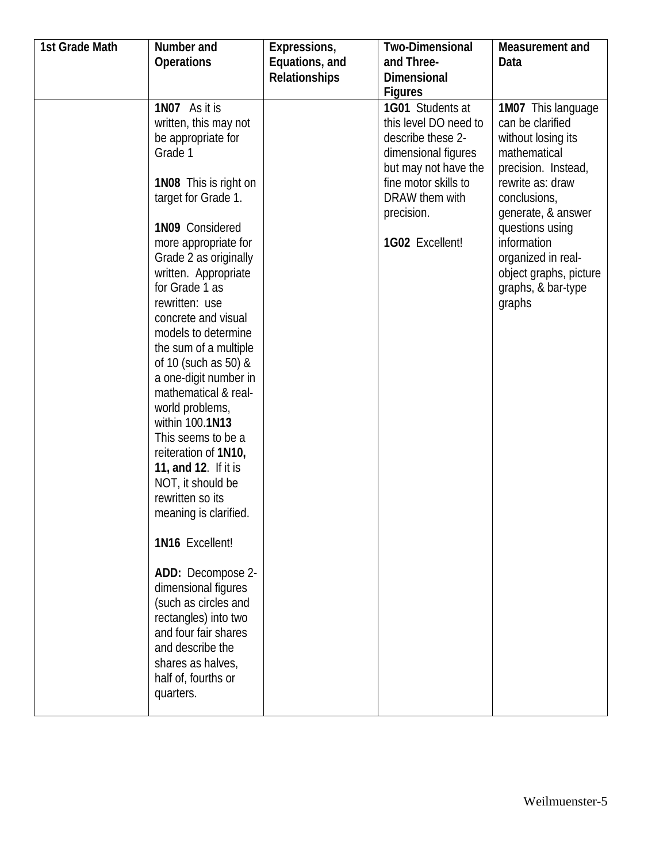| 1st Grade Math | Number and                         | Expressions,   | <b>Two-Dimensional</b> | Measurement and        |
|----------------|------------------------------------|----------------|------------------------|------------------------|
|                | <b>Operations</b>                  | Equations, and | and Three-             | Data                   |
|                |                                    | Relationships  | <b>Dimensional</b>     |                        |
|                |                                    |                | <b>Figures</b>         |                        |
|                | 1N07 As it is                      |                | 1G01 Students at       | 1M07 This language     |
|                | written, this may not              |                | this level DO need to  | can be clarified       |
|                | be appropriate for                 |                | describe these 2-      | without losing its     |
|                | Grade 1                            |                | dimensional figures    | mathematical           |
|                |                                    |                | but may not have the   | precision. Instead,    |
|                | 1N08 This is right on              |                | fine motor skills to   | rewrite as: draw       |
|                | target for Grade 1.                |                | DRAW them with         | conclusions,           |
|                |                                    |                | precision.             | generate, & answer     |
|                | 1N09 Considered                    |                |                        | questions using        |
|                | more appropriate for               |                | 1G02 Excellent!        | information            |
|                | Grade 2 as originally              |                |                        | organized in real-     |
|                | written. Appropriate               |                |                        | object graphs, picture |
|                | for Grade 1 as                     |                |                        | graphs, & bar-type     |
|                | rewritten: use                     |                |                        | graphs                 |
|                | concrete and visual                |                |                        |                        |
|                | models to determine                |                |                        |                        |
|                | the sum of a multiple              |                |                        |                        |
|                | of 10 (such as 50) &               |                |                        |                        |
|                | a one-digit number in              |                |                        |                        |
|                | mathematical & real-               |                |                        |                        |
|                | world problems,<br>within 100.1N13 |                |                        |                        |
|                | This seems to be a                 |                |                        |                        |
|                | reiteration of 1N10,               |                |                        |                        |
|                | 11, and 12. If it is               |                |                        |                        |
|                | NOT, it should be                  |                |                        |                        |
|                | rewritten so its                   |                |                        |                        |
|                | meaning is clarified.              |                |                        |                        |
|                |                                    |                |                        |                        |
|                | 1N16 Excellent!                    |                |                        |                        |
|                | ADD: Decompose 2-                  |                |                        |                        |
|                | dimensional figures                |                |                        |                        |
|                | (such as circles and               |                |                        |                        |
|                | rectangles) into two               |                |                        |                        |
|                | and four fair shares               |                |                        |                        |
|                | and describe the                   |                |                        |                        |
|                | shares as halves,                  |                |                        |                        |
|                | half of, fourths or                |                |                        |                        |
|                | quarters.                          |                |                        |                        |
|                |                                    |                |                        |                        |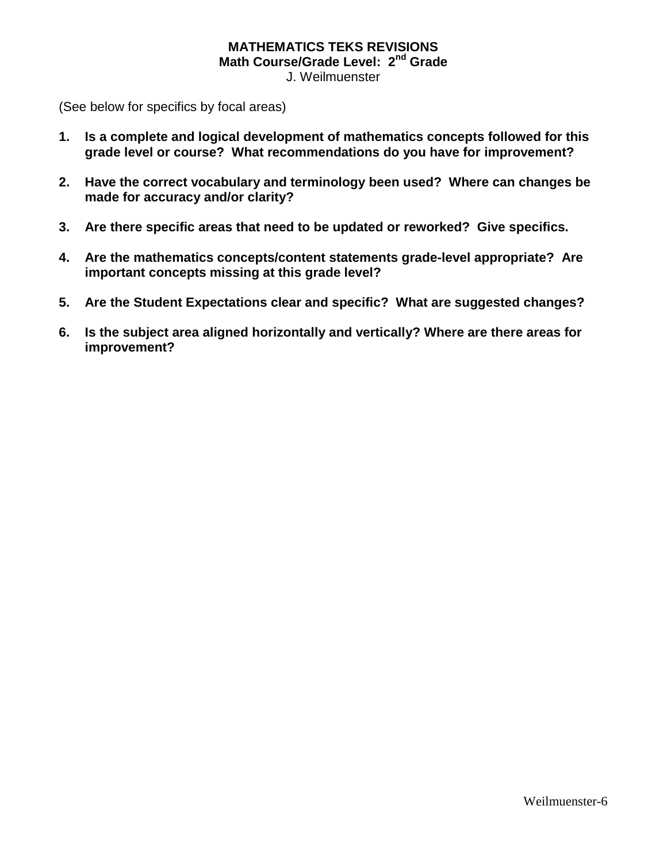# **MATHEMATICS TEKS REVISIONS Math Course/Grade Level: 2nd Grade**

J. Weilmuenster

(See below for specifics by focal areas)

- **1. Is a complete and logical development of mathematics concepts followed for this grade level or course? What recommendations do you have for improvement?**
- **2. Have the correct vocabulary and terminology been used? Where can changes be made for accuracy and/or clarity?**
- **3. Are there specific areas that need to be updated or reworked? Give specifics.**
- **4. Are the mathematics concepts/content statements grade-level appropriate? Are important concepts missing at this grade level?**
- **5. Are the Student Expectations clear and specific? What are suggested changes?**
- **6. Is the subject area aligned horizontally and vertically? Where are there areas for improvement?**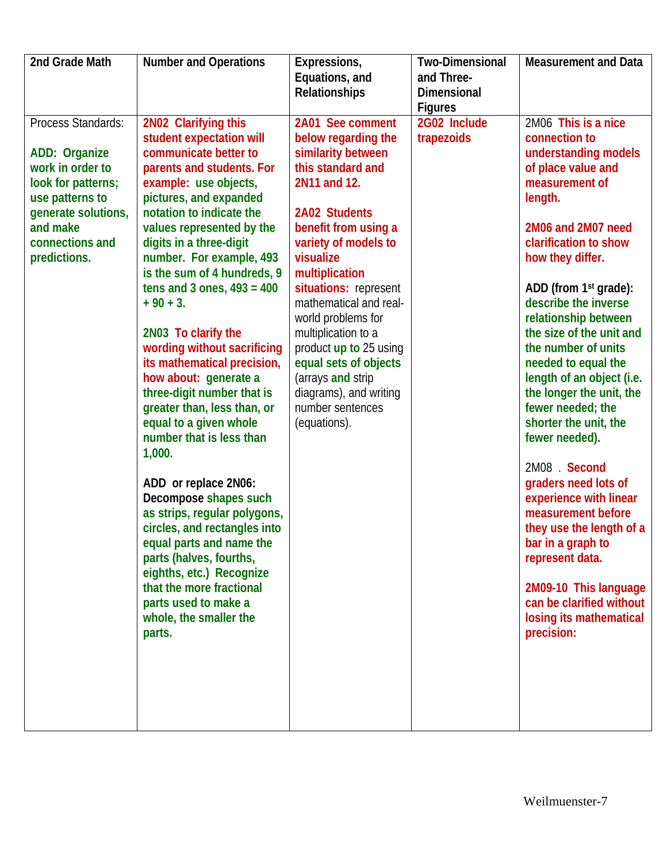| 2nd Grade Math                                                                                                                                                         | <b>Number and Operations</b>                                                                                                                                                                                                                                                                                                                                                                                                                                                                                                                                                                                                                                                                                                                                                                                                                                                                  | Expressions,<br>Equations, and<br>Relationships                                                                                                                                                                                                                                                                                                                                                                                          | <b>Two-Dimensional</b><br>and Three-<br><b>Dimensional</b><br><b>Figures</b> | <b>Measurement and Data</b>                                                                                                                                                                                                                                                                                                                                                                                                                                                                                                                                                                                                                                                                                                           |
|------------------------------------------------------------------------------------------------------------------------------------------------------------------------|-----------------------------------------------------------------------------------------------------------------------------------------------------------------------------------------------------------------------------------------------------------------------------------------------------------------------------------------------------------------------------------------------------------------------------------------------------------------------------------------------------------------------------------------------------------------------------------------------------------------------------------------------------------------------------------------------------------------------------------------------------------------------------------------------------------------------------------------------------------------------------------------------|------------------------------------------------------------------------------------------------------------------------------------------------------------------------------------------------------------------------------------------------------------------------------------------------------------------------------------------------------------------------------------------------------------------------------------------|------------------------------------------------------------------------------|---------------------------------------------------------------------------------------------------------------------------------------------------------------------------------------------------------------------------------------------------------------------------------------------------------------------------------------------------------------------------------------------------------------------------------------------------------------------------------------------------------------------------------------------------------------------------------------------------------------------------------------------------------------------------------------------------------------------------------------|
| Process Standards:<br>ADD: Organize<br>work in order to<br>look for patterns;<br>use patterns to<br>generate solutions,<br>and make<br>connections and<br>predictions. | 2N02 Clarifying this<br>student expectation will<br>communicate better to<br>parents and students. For<br>example: use objects,<br>pictures, and expanded<br>notation to indicate the<br>values represented by the<br>digits in a three-digit<br>number. For example, 493<br>is the sum of 4 hundreds, 9<br>tens and 3 ones, $493 = 400$<br>$+90 + 3.$<br>2N03 To clarify the<br>wording without sacrificing<br>its mathematical precision,<br>how about: generate a<br>three-digit number that is<br>greater than, less than, or<br>equal to a given whole<br>number that is less than<br>1,000.<br>ADD or replace 2N06:<br>Decompose shapes such<br>as strips, regular polygons,<br>circles, and rectangles into<br>equal parts and name the<br>parts (halves, fourths,<br>eighths, etc.) Recognize<br>that the more fractional<br>parts used to make a<br>whole, the smaller the<br>parts. | 2A01 See comment<br>below regarding the<br>similarity between<br>this standard and<br>2N11 and 12.<br>2A02 Students<br>benefit from using a<br>variety of models to<br>visualize<br>multiplication<br>situations: represent<br>mathematical and real-<br>world problems for<br>multiplication to a<br>product up to 25 using<br>equal sets of objects<br>(arrays and strip<br>diagrams), and writing<br>number sentences<br>(equations). | 2G02 Include<br>trapezoids                                                   | 2M06 This is a nice<br>connection to<br>understanding models<br>of place value and<br>measurement of<br>length.<br>2M06 and 2M07 need<br>clarification to show<br>how they differ.<br>ADD (from 1 <sup>st</sup> grade):<br>describe the inverse<br>relationship between<br>the size of the unit and<br>the number of units<br>needed to equal the<br>length of an object (i.e.<br>the longer the unit, the<br>fewer needed; the<br>shorter the unit, the<br>fewer needed).<br>2M08 . Second<br>graders need lots of<br>experience with linear<br>measurement before<br>they use the length of a<br>bar in a graph to<br>represent data.<br>2M09-10 This language<br>can be clarified without<br>losing its mathematical<br>precision: |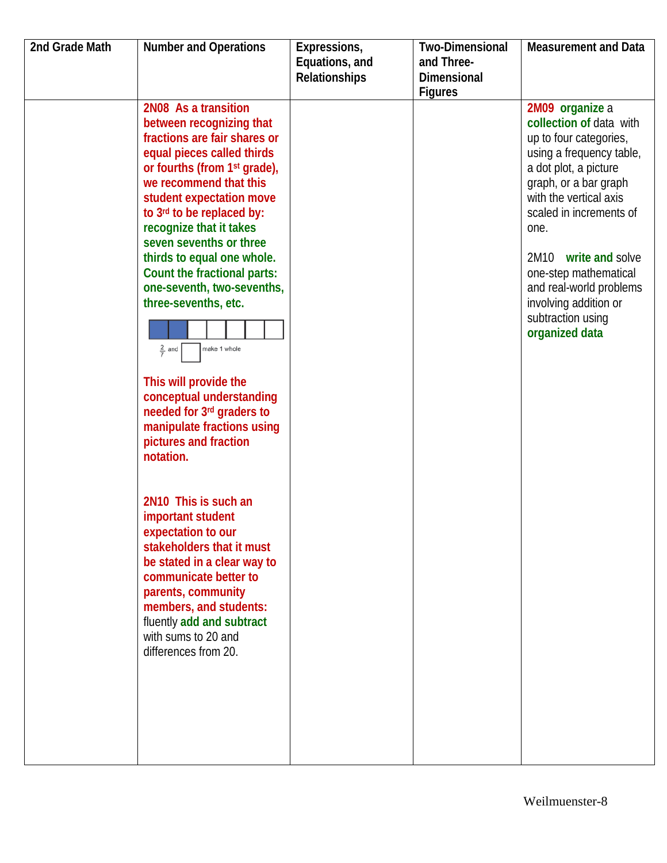| 2nd Grade Math | <b>Number and Operations</b>             | Expressions,         | <b>Two-Dimensional</b> | <b>Measurement and Data</b> |
|----------------|------------------------------------------|----------------------|------------------------|-----------------------------|
|                |                                          | Equations, and       | and Three-             |                             |
|                |                                          | <b>Relationships</b> | <b>Dimensional</b>     |                             |
|                |                                          |                      | <b>Figures</b>         |                             |
|                | 2N08 As a transition                     |                      |                        | 2M09 organize a             |
|                | between recognizing that                 |                      |                        | collection of data with     |
|                | fractions are fair shares or             |                      |                        | up to four categories,      |
|                | equal pieces called thirds               |                      |                        | using a frequency table,    |
|                | or fourths (from 1 <sup>st</sup> grade), |                      |                        | a dot plot, a picture       |
|                | we recommend that this                   |                      |                        | graph, or a bar graph       |
|                | student expectation move                 |                      |                        | with the vertical axis      |
|                | to 3rd to be replaced by:                |                      |                        | scaled in increments of     |
|                | recognize that it takes                  |                      |                        | one.                        |
|                | seven sevenths or three                  |                      |                        |                             |
|                | thirds to equal one whole.               |                      |                        | 2M10<br>write and solve     |
|                | Count the fractional parts:              |                      |                        | one-step mathematical       |
|                | one-seventh, two-sevenths,               |                      |                        | and real-world problems     |
|                | three-sevenths, etc.                     |                      |                        | involving addition or       |
|                |                                          |                      |                        | subtraction using           |
|                |                                          |                      |                        | organized data              |
|                | make 1 whole<br>$rac{2}{7}$ and          |                      |                        |                             |
|                |                                          |                      |                        |                             |
|                | This will provide the                    |                      |                        |                             |
|                | conceptual understanding                 |                      |                        |                             |
|                | needed for 3rd graders to                |                      |                        |                             |
|                | manipulate fractions using               |                      |                        |                             |
|                | pictures and fraction                    |                      |                        |                             |
|                | notation.                                |                      |                        |                             |
|                |                                          |                      |                        |                             |
|                |                                          |                      |                        |                             |
|                | 2N10 This is such an                     |                      |                        |                             |
|                | important student                        |                      |                        |                             |
|                | expectation to our                       |                      |                        |                             |
|                | stakeholders that it must                |                      |                        |                             |
|                | be stated in a clear way to              |                      |                        |                             |
|                | communicate better to                    |                      |                        |                             |
|                | parents, community                       |                      |                        |                             |
|                | members, and students:                   |                      |                        |                             |
|                | fluently add and subtract                |                      |                        |                             |
|                | with sums to 20 and                      |                      |                        |                             |
|                | differences from 20.                     |                      |                        |                             |
|                |                                          |                      |                        |                             |
|                |                                          |                      |                        |                             |
|                |                                          |                      |                        |                             |
|                |                                          |                      |                        |                             |
|                |                                          |                      |                        |                             |
|                |                                          |                      |                        |                             |
|                |                                          |                      |                        |                             |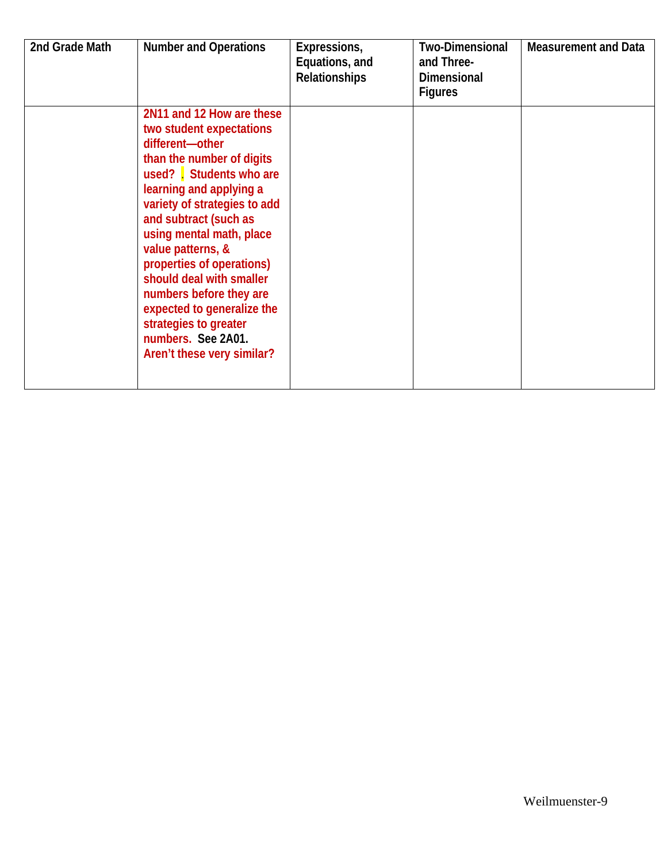| 2nd Grade Math | <b>Number and Operations</b>                                                                                                                                                                                                                                                                                                                                                                                                                                        | Expressions,<br>Equations, and<br><b>Relationships</b> | <b>Two-Dimensional</b><br>and Three-<br><b>Dimensional</b><br><b>Figures</b> | <b>Measurement and Data</b> |
|----------------|---------------------------------------------------------------------------------------------------------------------------------------------------------------------------------------------------------------------------------------------------------------------------------------------------------------------------------------------------------------------------------------------------------------------------------------------------------------------|--------------------------------------------------------|------------------------------------------------------------------------------|-----------------------------|
|                | 2N11 and 12 How are these<br>two student expectations<br>different-other<br>than the number of digits<br>used? Students who are<br>learning and applying a<br>variety of strategies to add<br>and subtract (such as<br>using mental math, place<br>value patterns, &<br>properties of operations)<br>should deal with smaller<br>numbers before they are<br>expected to generalize the<br>strategies to greater<br>numbers. See 2A01.<br>Aren't these very similar? |                                                        |                                                                              |                             |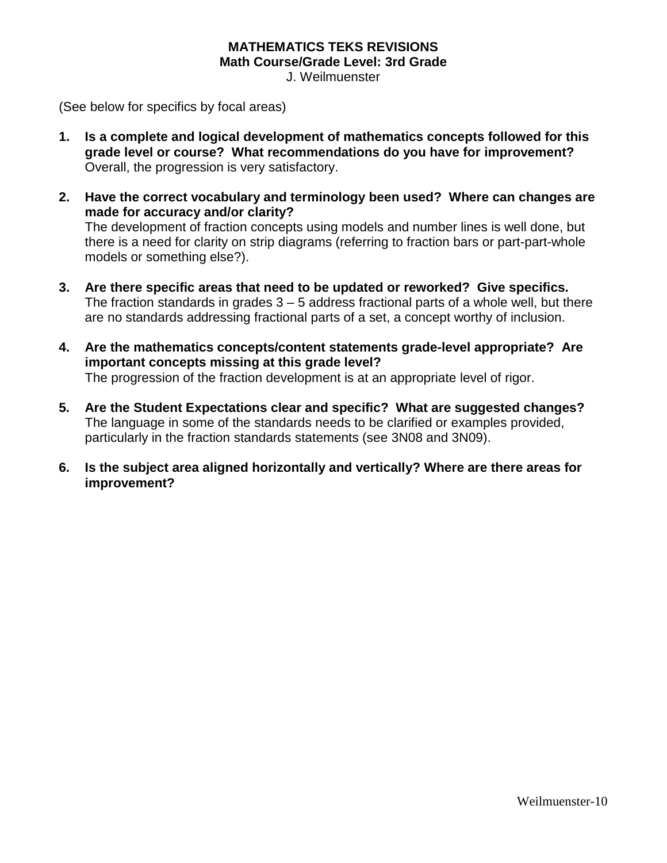### **MATHEMATICS TEKS REVISIONS Math Course/Grade Level: 3rd Grade**

J. Weilmuenster

(See below for specifics by focal areas)

- **1. Is a complete and logical development of mathematics concepts followed for this grade level or course? What recommendations do you have for improvement?**  Overall, the progression is very satisfactory.
- **2. Have the correct vocabulary and terminology been used? Where can changes are made for accuracy and/or clarity?** The development of fraction concepts using models and number lines is well done, but there is a need for clarity on strip diagrams (referring to fraction bars or part-part-whole models or something else?).
- **3. Are there specific areas that need to be updated or reworked? Give specifics.** The fraction standards in grades  $3 - 5$  address fractional parts of a whole well, but there are no standards addressing fractional parts of a set, a concept worthy of inclusion.
- **4. Are the mathematics concepts/content statements grade-level appropriate? Are important concepts missing at this grade level?** The progression of the fraction development is at an appropriate level of rigor.
- **5. Are the Student Expectations clear and specific? What are suggested changes?** The language in some of the standards needs to be clarified or examples provided, particularly in the fraction standards statements (see 3N08 and 3N09).
- **6. Is the subject area aligned horizontally and vertically? Where are there areas for improvement?**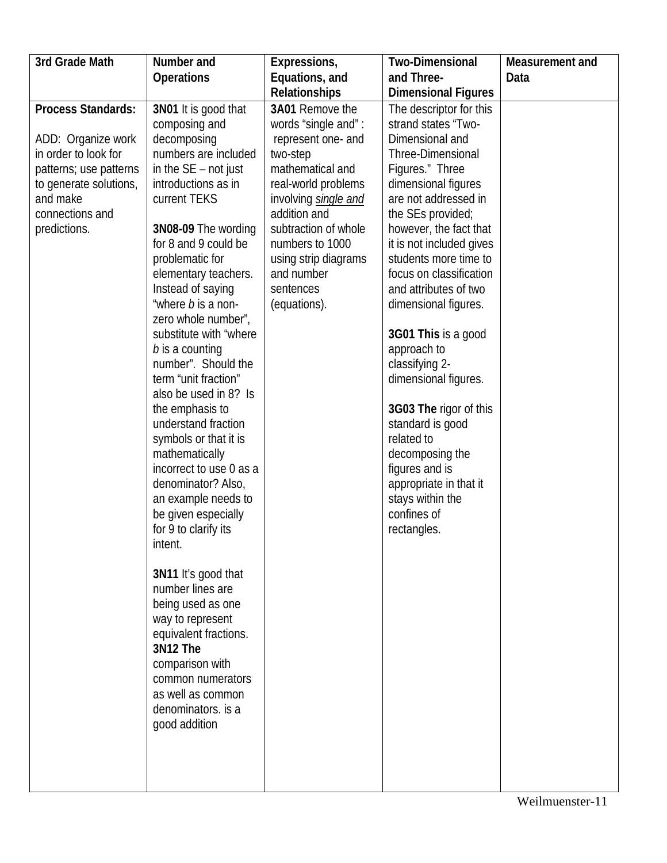| 3rd Grade Math            | Number and                                  | Expressions,                         | <b>Two-Dimensional</b>                      | Measurement and |
|---------------------------|---------------------------------------------|--------------------------------------|---------------------------------------------|-----------------|
|                           | <b>Operations</b>                           | Equations, and                       | and Three-                                  | Data            |
|                           |                                             | <b>Relationships</b>                 | <b>Dimensional Figures</b>                  |                 |
| <b>Process Standards:</b> | 3N01 It is good that                        | 3A01 Remove the                      | The descriptor for this                     |                 |
|                           | composing and                               | words "single and":                  | strand states "Two-                         |                 |
| ADD: Organize work        | decomposing                                 | represent one- and                   | Dimensional and                             |                 |
| in order to look for      | numbers are included                        | two-step                             | Three-Dimensional                           |                 |
| patterns; use patterns    | in the $SE$ – not just                      | mathematical and                     | Figures." Three                             |                 |
| to generate solutions,    | introductions as in                         | real-world problems                  | dimensional figures                         |                 |
| and make                  | current TEKS                                | involving single and                 | are not addressed in                        |                 |
| connections and           |                                             | addition and<br>subtraction of whole | the SEs provided;<br>however, the fact that |                 |
| predictions.              | 3N08-09 The wording<br>for 8 and 9 could be | numbers to 1000                      | it is not included gives                    |                 |
|                           | problematic for                             | using strip diagrams                 | students more time to                       |                 |
|                           | elementary teachers.                        | and number                           | focus on classification                     |                 |
|                           | Instead of saying                           | sentences                            | and attributes of two                       |                 |
|                           | "where <i>b</i> is a non-                   | (equations).                         | dimensional figures.                        |                 |
|                           | zero whole number",                         |                                      |                                             |                 |
|                           | substitute with "where                      |                                      | 3G01 This is a good                         |                 |
|                           | b is a counting                             |                                      | approach to                                 |                 |
|                           | number". Should the                         |                                      | classifying 2-                              |                 |
|                           | term "unit fraction"                        |                                      | dimensional figures.                        |                 |
|                           | also be used in 8? Is                       |                                      |                                             |                 |
|                           | the emphasis to                             |                                      | 3G03 The rigor of this                      |                 |
|                           | understand fraction                         |                                      | standard is good                            |                 |
|                           | symbols or that it is                       |                                      | related to                                  |                 |
|                           | mathematically                              |                                      | decomposing the                             |                 |
|                           | incorrect to use 0 as a                     |                                      | figures and is                              |                 |
|                           | denominator? Also,                          |                                      | appropriate in that it                      |                 |
|                           | an example needs to                         |                                      | stays within the<br>confines of             |                 |
|                           | be given especially<br>for 9 to clarify its |                                      | rectangles.                                 |                 |
|                           | intent.                                     |                                      |                                             |                 |
|                           |                                             |                                      |                                             |                 |
|                           | 3N11 It's good that                         |                                      |                                             |                 |
|                           | number lines are                            |                                      |                                             |                 |
|                           | being used as one                           |                                      |                                             |                 |
|                           | way to represent                            |                                      |                                             |                 |
|                           | equivalent fractions.                       |                                      |                                             |                 |
|                           | 3N12 The                                    |                                      |                                             |                 |
|                           | comparison with                             |                                      |                                             |                 |
|                           | common numerators                           |                                      |                                             |                 |
|                           | as well as common                           |                                      |                                             |                 |
|                           | denominators. is a                          |                                      |                                             |                 |
|                           | good addition                               |                                      |                                             |                 |
|                           |                                             |                                      |                                             |                 |
|                           |                                             |                                      |                                             |                 |
|                           |                                             |                                      |                                             |                 |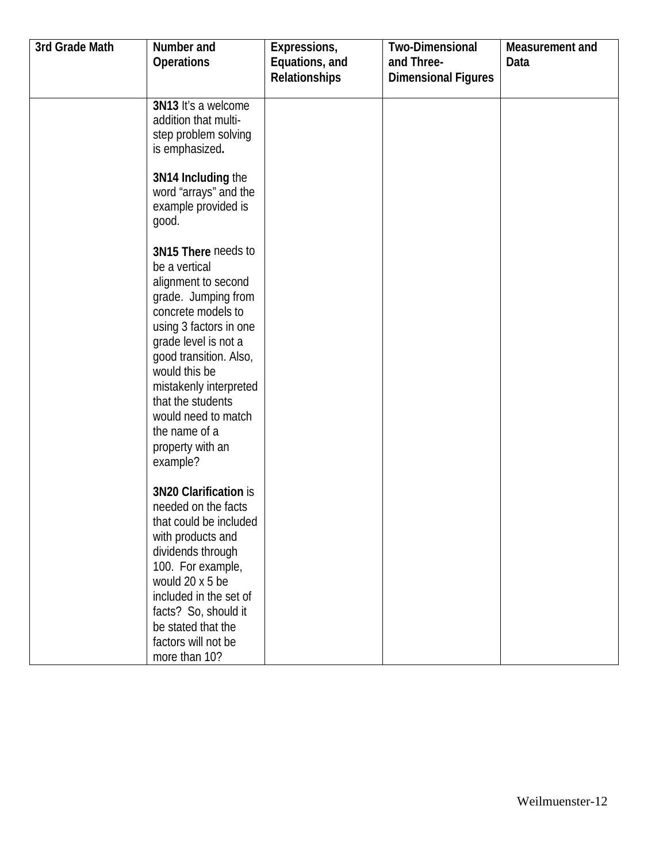| 3rd Grade Math | Number and                                  | Expressions,         | <b>Two-Dimensional</b>     | Measurement and |
|----------------|---------------------------------------------|----------------------|----------------------------|-----------------|
|                | Operations                                  | Equations, and       | and Three-                 | Data            |
|                |                                             | <b>Relationships</b> | <b>Dimensional Figures</b> |                 |
|                |                                             |                      |                            |                 |
|                | 3N13 It's a welcome                         |                      |                            |                 |
|                | addition that multi-                        |                      |                            |                 |
|                | step problem solving                        |                      |                            |                 |
|                | is emphasized.                              |                      |                            |                 |
|                | 3N14 Including the                          |                      |                            |                 |
|                | word "arrays" and the                       |                      |                            |                 |
|                | example provided is                         |                      |                            |                 |
|                | good.                                       |                      |                            |                 |
|                |                                             |                      |                            |                 |
|                | 3N15 There needs to                         |                      |                            |                 |
|                | be a vertical                               |                      |                            |                 |
|                | alignment to second                         |                      |                            |                 |
|                | grade. Jumping from                         |                      |                            |                 |
|                | concrete models to                          |                      |                            |                 |
|                | using 3 factors in one                      |                      |                            |                 |
|                | grade level is not a                        |                      |                            |                 |
|                | good transition. Also,                      |                      |                            |                 |
|                | would this be                               |                      |                            |                 |
|                | mistakenly interpreted<br>that the students |                      |                            |                 |
|                | would need to match                         |                      |                            |                 |
|                | the name of a                               |                      |                            |                 |
|                | property with an                            |                      |                            |                 |
|                | example?                                    |                      |                            |                 |
|                |                                             |                      |                            |                 |
|                | 3N20 Clarification is                       |                      |                            |                 |
|                | needed on the facts                         |                      |                            |                 |
|                | that could be included                      |                      |                            |                 |
|                | with products and                           |                      |                            |                 |
|                | dividends through                           |                      |                            |                 |
|                | 100. For example,                           |                      |                            |                 |
|                | would 20 x 5 be                             |                      |                            |                 |
|                | included in the set of                      |                      |                            |                 |
|                | facts? So, should it                        |                      |                            |                 |
|                | be stated that the                          |                      |                            |                 |
|                | factors will not be                         |                      |                            |                 |
|                | more than 10?                               |                      |                            |                 |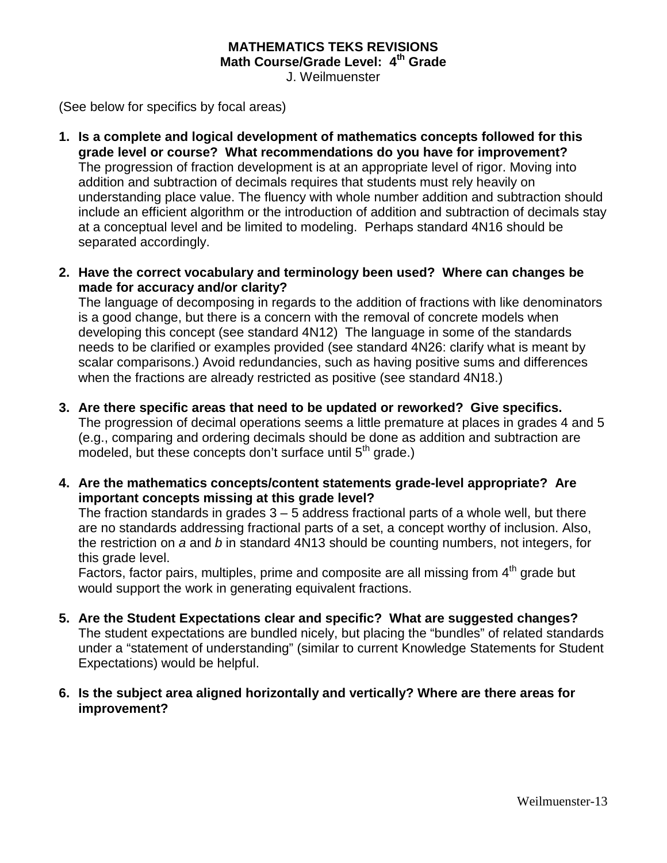### **MATHEMATICS TEKS REVISIONS Math Course/Grade Level: 4th Grade**

J. Weilmuenster

(See below for specifics by focal areas)

- **1. Is a complete and logical development of mathematics concepts followed for this grade level or course? What recommendations do you have for improvement?** The progression of fraction development is at an appropriate level of rigor. Moving into addition and subtraction of decimals requires that students must rely heavily on understanding place value. The fluency with whole number addition and subtraction should include an efficient algorithm or the introduction of addition and subtraction of decimals stay at a conceptual level and be limited to modeling. Perhaps standard 4N16 should be separated accordingly.
- **2. Have the correct vocabulary and terminology been used? Where can changes be made for accuracy and/or clarity?**

The language of decomposing in regards to the addition of fractions with like denominators is a good change, but there is a concern with the removal of concrete models when developing this concept (see standard 4N12) The language in some of the standards needs to be clarified or examples provided (see standard 4N26: clarify what is meant by scalar comparisons.) Avoid redundancies, such as having positive sums and differences when the fractions are already restricted as positive (see standard 4N18.)

**3. Are there specific areas that need to be updated or reworked? Give specifics.**

The progression of decimal operations seems a little premature at places in grades 4 and 5 (e.g., comparing and ordering decimals should be done as addition and subtraction are modeled, but these concepts don't surface until 5<sup>th</sup> grade.)

**4. Are the mathematics concepts/content statements grade-level appropriate? Are important concepts missing at this grade level?**

The fraction standards in grades  $3 - 5$  address fractional parts of a whole well, but there are no standards addressing fractional parts of a set, a concept worthy of inclusion. Also, the restriction on *a* and *b* in standard 4N13 should be counting numbers, not integers, for this grade level.

Factors, factor pairs, multiples, prime and composite are all missing from  $4<sup>th</sup>$  grade but would support the work in generating equivalent fractions.

- **5. Are the Student Expectations clear and specific? What are suggested changes?** The student expectations are bundled nicely, but placing the "bundles" of related standards under a "statement of understanding" (similar to current Knowledge Statements for Student Expectations) would be helpful.
- **6. Is the subject area aligned horizontally and vertically? Where are there areas for improvement?**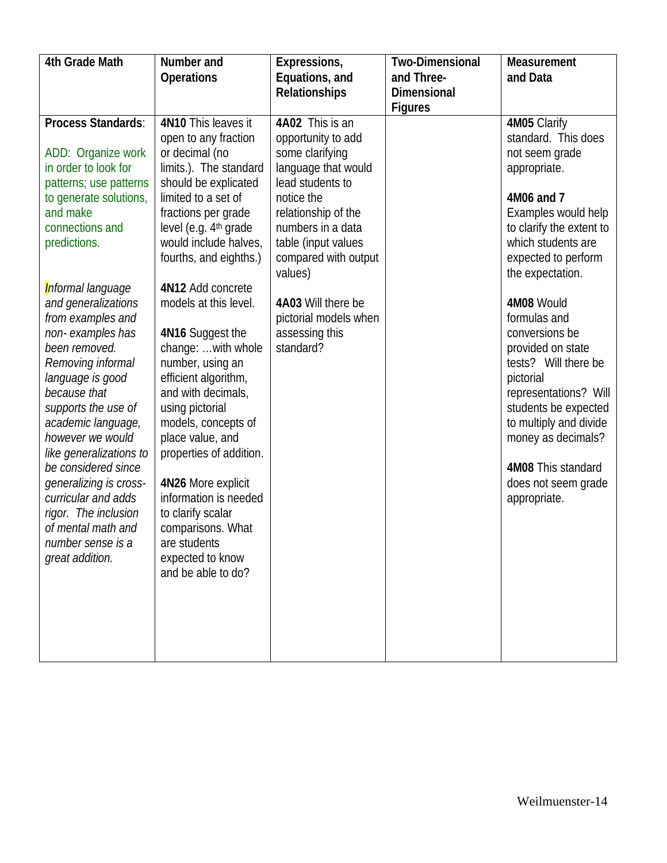| 4th Grade Math                                   | Number and                                  | Expressions,                            | <b>Two-Dimensional</b> | Measurement              |
|--------------------------------------------------|---------------------------------------------|-----------------------------------------|------------------------|--------------------------|
|                                                  | <b>Operations</b>                           | Equations, and                          | and Three-             | and Data                 |
|                                                  |                                             | <b>Relationships</b>                    | <b>Dimensional</b>     |                          |
|                                                  |                                             |                                         | <b>Figures</b>         |                          |
| Process Standards:                               | 4N10 This leaves it                         | 4A02 This is an                         |                        | 4M05 Clarify             |
|                                                  | open to any fraction                        | opportunity to add                      |                        | standard. This does      |
| ADD: Organize work<br>in order to look for       | or decimal (no                              | some clarifying                         |                        | not seem grade           |
|                                                  | limits.). The standard                      | language that would<br>lead students to |                        | appropriate.             |
| patterns; use patterns<br>to generate solutions, | should be explicated<br>limited to a set of | notice the                              |                        | 4M06 and 7               |
| and make                                         | fractions per grade                         | relationship of the                     |                        | Examples would help      |
| connections and                                  | level (e.g. 4 <sup>th</sup> grade           | numbers in a data                       |                        | to clarify the extent to |
| predictions.                                     | would include halves,                       | table (input values                     |                        | which students are       |
|                                                  | fourths, and eighths.)                      | compared with output                    |                        | expected to perform      |
|                                                  |                                             | values)                                 |                        | the expectation.         |
| Informal language                                | 4N12 Add concrete                           |                                         |                        |                          |
| and generalizations                              | models at this level.                       | 4A03 Will there be                      |                        | 4M08 Would               |
| from examples and                                |                                             | pictorial models when                   |                        | formulas and             |
| non-examples has                                 | 4N16 Suggest the                            | assessing this                          |                        | conversions be           |
| been removed.                                    | change:  with whole                         | standard?                               |                        | provided on state        |
| Removing informal                                | number, using an                            |                                         |                        | tests? Will there be     |
| language is good                                 | efficient algorithm,                        |                                         |                        | pictorial                |
| because that                                     | and with decimals,                          |                                         |                        | representations? Will    |
| supports the use of                              | using pictorial                             |                                         |                        | students be expected     |
| academic language,                               | models, concepts of                         |                                         |                        | to multiply and divide   |
| however we would                                 | place value, and                            |                                         |                        | money as decimals?       |
| like generalizations to                          | properties of addition.                     |                                         |                        |                          |
| be considered since                              |                                             |                                         |                        | 4M08 This standard       |
| generalizing is cross-                           | 4N26 More explicit                          |                                         |                        | does not seem grade      |
| curricular and adds                              | information is needed                       |                                         |                        | appropriate.             |
| rigor. The inclusion                             | to clarify scalar                           |                                         |                        |                          |
| of mental math and                               | comparisons. What                           |                                         |                        |                          |
| number sense is a                                | are students                                |                                         |                        |                          |
| great addition.                                  | expected to know                            |                                         |                        |                          |
|                                                  | and be able to do?                          |                                         |                        |                          |
|                                                  |                                             |                                         |                        |                          |
|                                                  |                                             |                                         |                        |                          |
|                                                  |                                             |                                         |                        |                          |
|                                                  |                                             |                                         |                        |                          |
|                                                  |                                             |                                         |                        |                          |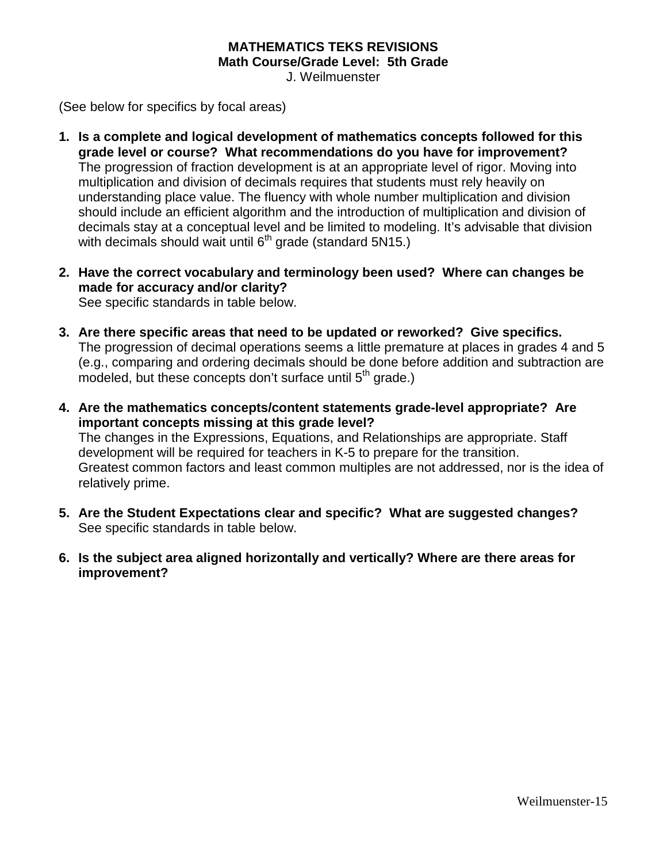## **MATHEMATICS TEKS REVISIONS Math Course/Grade Level: 5th Grade**

J. Weilmuenster

(See below for specifics by focal areas)

- **1. Is a complete and logical development of mathematics concepts followed for this grade level or course? What recommendations do you have for improvement?**  The progression of fraction development is at an appropriate level of rigor. Moving into multiplication and division of decimals requires that students must rely heavily on understanding place value. The fluency with whole number multiplication and division should include an efficient algorithm and the introduction of multiplication and division of decimals stay at a conceptual level and be limited to modeling. It's advisable that division with decimals should wait until  $6<sup>th</sup>$  grade (standard 5N15.)
- **2. Have the correct vocabulary and terminology been used? Where can changes be made for accuracy and/or clarity?**

See specific standards in table below.

- **3. Are there specific areas that need to be updated or reworked? Give specifics.** The progression of decimal operations seems a little premature at places in grades 4 and 5 (e.g., comparing and ordering decimals should be done before addition and subtraction are modeled, but these concepts don't surface until 5<sup>th</sup> grade.)
- **4. Are the mathematics concepts/content statements grade-level appropriate? Are important concepts missing at this grade level?** The changes in the Expressions, Equations, and Relationships are appropriate. Staff

development will be required for teachers in K-5 to prepare for the transition. Greatest common factors and least common multiples are not addressed, nor is the idea of relatively prime.

- **5. Are the Student Expectations clear and specific? What are suggested changes?** See specific standards in table below.
- **6. Is the subject area aligned horizontally and vertically? Where are there areas for improvement?**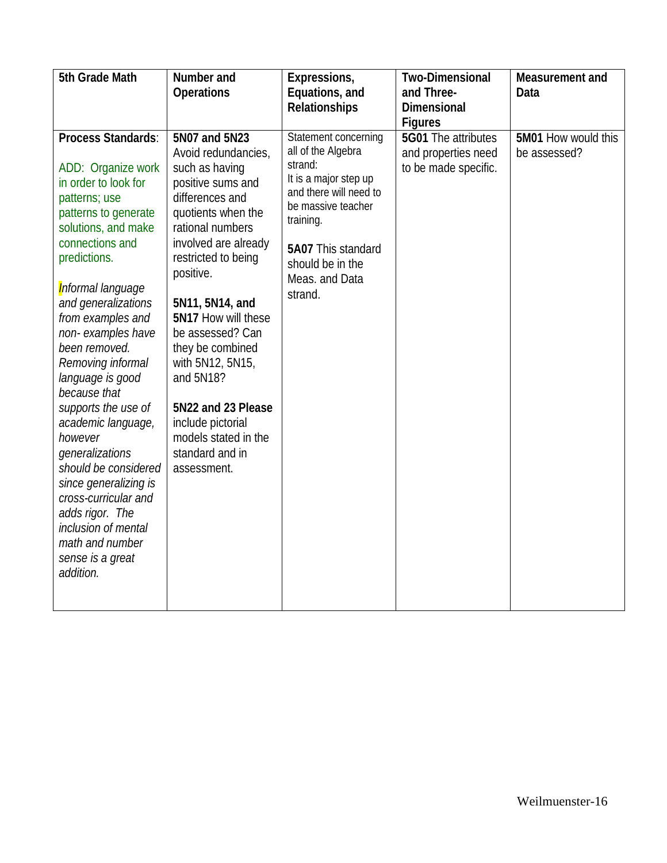| 5th Grade Math                                                                                                                                                                                                                                                                                                                                                                                                                                                                                                                                                                               | Number and<br><b>Operations</b>                                                                                                                                                                                                                                                                                                                                                                                              | Expressions,<br>Equations, and<br><b>Relationships</b>                                                                                                                                                             | <b>Two-Dimensional</b><br>and Three-<br><b>Dimensional</b><br><b>Figures</b> | Measurement and<br>Data             |
|----------------------------------------------------------------------------------------------------------------------------------------------------------------------------------------------------------------------------------------------------------------------------------------------------------------------------------------------------------------------------------------------------------------------------------------------------------------------------------------------------------------------------------------------------------------------------------------------|------------------------------------------------------------------------------------------------------------------------------------------------------------------------------------------------------------------------------------------------------------------------------------------------------------------------------------------------------------------------------------------------------------------------------|--------------------------------------------------------------------------------------------------------------------------------------------------------------------------------------------------------------------|------------------------------------------------------------------------------|-------------------------------------|
| <b>Process Standards:</b><br>ADD: Organize work<br>in order to look for<br>patterns; use<br>patterns to generate<br>solutions, and make<br>connections and<br>predictions.<br>Informal language<br>and generalizations<br>from examples and<br>non-examples have<br>been removed.<br>Removing informal<br>language is good<br>because that<br>supports the use of<br>academic language,<br>however<br>generalizations<br>should be considered<br>since generalizing is<br>cross-curricular and<br>adds rigor. The<br>inclusion of mental<br>math and number<br>sense is a great<br>addition. | 5N07 and 5N23<br>Avoid redundancies,<br>such as having<br>positive sums and<br>differences and<br>quotients when the<br>rational numbers<br>involved are already<br>restricted to being<br>positive.<br>5N11, 5N14, and<br>5N17 How will these<br>be assessed? Can<br>they be combined<br>with 5N12, 5N15,<br>and 5N18?<br>5N22 and 23 Please<br>include pictorial<br>models stated in the<br>standard and in<br>assessment. | Statement concerning<br>all of the Algebra<br>strand:<br>It is a major step up<br>and there will need to<br>be massive teacher<br>training.<br>5A07 This standard<br>should be in the<br>Meas. and Data<br>strand. | 5G01 The attributes<br>and properties need<br>to be made specific.           | 5M01 How would this<br>be assessed? |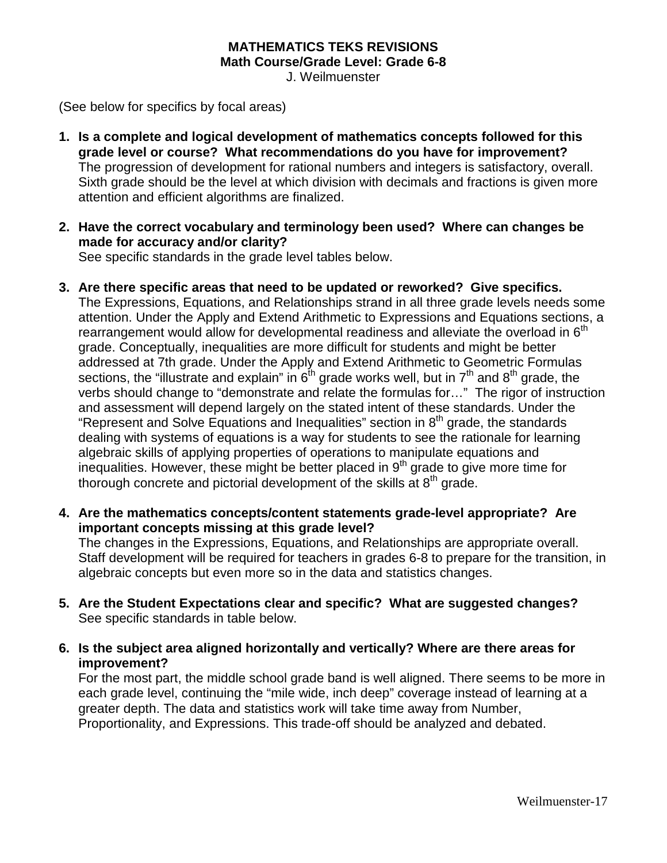### **MATHEMATICS TEKS REVISIONS Math Course/Grade Level: Grade 6-8**

J. Weilmuenster

(See below for specifics by focal areas)

- **1. Is a complete and logical development of mathematics concepts followed for this grade level or course? What recommendations do you have for improvement?** The progression of development for rational numbers and integers is satisfactory, overall. Sixth grade should be the level at which division with decimals and fractions is given more attention and efficient algorithms are finalized.
- **2. Have the correct vocabulary and terminology been used? Where can changes be made for accuracy and/or clarity?**

See specific standards in the grade level tables below.

- **3. Are there specific areas that need to be updated or reworked? Give specifics.** The Expressions, Equations, and Relationships strand in all three grade levels needs some attention. Under the Apply and Extend Arithmetic to Expressions and Equations sections, a rearrangement would allow for developmental readiness and alleviate the overload in  $6<sup>th</sup>$ grade. Conceptually, inequalities are more difficult for students and might be better addressed at 7th grade. Under the Apply and Extend Arithmetic to Geometric Formulas sections, the "illustrate and explain" in  $6<sup>th</sup>$  grade works well, but in  $7<sup>th</sup>$  and  $8<sup>th</sup>$  grade, the verbs should change to "demonstrate and relate the formulas for…" The rigor of instruction and assessment will depend largely on the stated intent of these standards. Under the "Represent and Solve Equations and Inequalities" section in  $8<sup>th</sup>$  grade, the standards dealing with systems of equations is a way for students to see the rationale for learning algebraic skills of applying properties of operations to manipulate equations and inequalities. However, these might be better placed in  $9<sup>th</sup>$  grade to give more time for thorough concrete and pictorial development of the skills at  $8<sup>th</sup>$  grade.
- **4. Are the mathematics concepts/content statements grade-level appropriate? Are important concepts missing at this grade level?**

The changes in the Expressions, Equations, and Relationships are appropriate overall. Staff development will be required for teachers in grades 6-8 to prepare for the transition, in algebraic concepts but even more so in the data and statistics changes.

- **5. Are the Student Expectations clear and specific? What are suggested changes?** See specific standards in table below.
- **6. Is the subject area aligned horizontally and vertically? Where are there areas for improvement?**

For the most part, the middle school grade band is well aligned. There seems to be more in each grade level, continuing the "mile wide, inch deep" coverage instead of learning at a greater depth. The data and statistics work will take time away from Number, Proportionality, and Expressions. This trade-off should be analyzed and debated.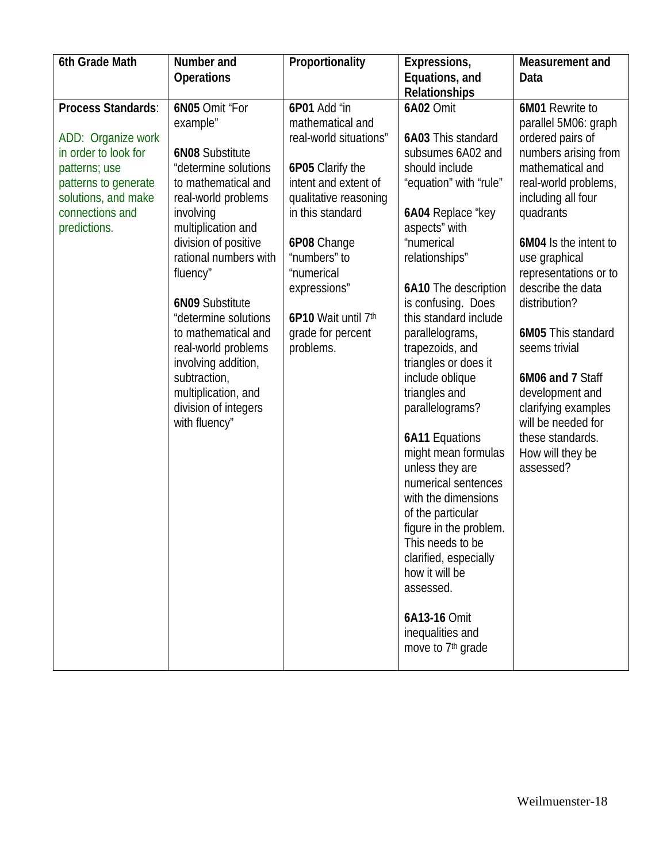| 6th Grade Math                                                                                                                                                      | Number and<br><b>Operations</b>                                                                                                                                                                                                                                                                                                                                                                                                   | Proportionality                                                                                                                                                                                                                                                           | Expressions,<br>Equations, and                                                                                                                                                                                                                                                                                                                                                                                                                                                                                                                                                                                                                                                             | Measurement and<br>Data                                                                                                                                                                                                                                                                                                                                                                                                                                     |
|---------------------------------------------------------------------------------------------------------------------------------------------------------------------|-----------------------------------------------------------------------------------------------------------------------------------------------------------------------------------------------------------------------------------------------------------------------------------------------------------------------------------------------------------------------------------------------------------------------------------|---------------------------------------------------------------------------------------------------------------------------------------------------------------------------------------------------------------------------------------------------------------------------|--------------------------------------------------------------------------------------------------------------------------------------------------------------------------------------------------------------------------------------------------------------------------------------------------------------------------------------------------------------------------------------------------------------------------------------------------------------------------------------------------------------------------------------------------------------------------------------------------------------------------------------------------------------------------------------------|-------------------------------------------------------------------------------------------------------------------------------------------------------------------------------------------------------------------------------------------------------------------------------------------------------------------------------------------------------------------------------------------------------------------------------------------------------------|
|                                                                                                                                                                     |                                                                                                                                                                                                                                                                                                                                                                                                                                   |                                                                                                                                                                                                                                                                           | Relationships                                                                                                                                                                                                                                                                                                                                                                                                                                                                                                                                                                                                                                                                              |                                                                                                                                                                                                                                                                                                                                                                                                                                                             |
| Process Standards:<br>ADD: Organize work<br>in order to look for<br>patterns; use<br>patterns to generate<br>solutions, and make<br>connections and<br>predictions. | 6N05 Omit "For<br>example"<br><b>6N08 Substitute</b><br>"determine solutions<br>to mathematical and<br>real-world problems<br>involving<br>multiplication and<br>division of positive<br>rational numbers with<br>fluency"<br><b>6N09 Substitute</b><br>"determine solutions<br>to mathematical and<br>real-world problems<br>involving addition,<br>subtraction,<br>multiplication, and<br>division of integers<br>with fluency" | 6P01 Add "in<br>mathematical and<br>real-world situations"<br>6P05 Clarify the<br>intent and extent of<br>qualitative reasoning<br>in this standard<br>6P08 Change<br>"numbers" to<br>"numerical<br>expressions"<br>6P10 Wait until 7th<br>grade for percent<br>problems. | <b>6A02 Omit</b><br>6A03 This standard<br>subsumes 6A02 and<br>should include<br>"equation" with "rule"<br>6A04 Replace "key<br>aspects" with<br>"numerical<br>relationships"<br>6A10 The description<br>is confusing. Does<br>this standard include<br>parallelograms,<br>trapezoids, and<br>triangles or does it<br>include oblique<br>triangles and<br>parallelograms?<br><b>6A11 Equations</b><br>might mean formulas<br>unless they are<br>numerical sentences<br>with the dimensions<br>of the particular<br>figure in the problem.<br>This needs to be<br>clarified, especially<br>how it will be<br>assessed.<br>6A13-16 Omit<br>inequalities and<br>move to 7 <sup>th</sup> grade | 6M01 Rewrite to<br>parallel 5M06: graph<br>ordered pairs of<br>numbers arising from<br>mathematical and<br>real-world problems,<br>including all four<br>quadrants<br>6M04 Is the intent to<br>use graphical<br>representations or to<br>describe the data<br>distribution?<br>6M05 This standard<br>seems trivial<br>6M06 and 7 Staff<br>development and<br>clarifying examples<br>will be needed for<br>these standards.<br>How will they be<br>assessed? |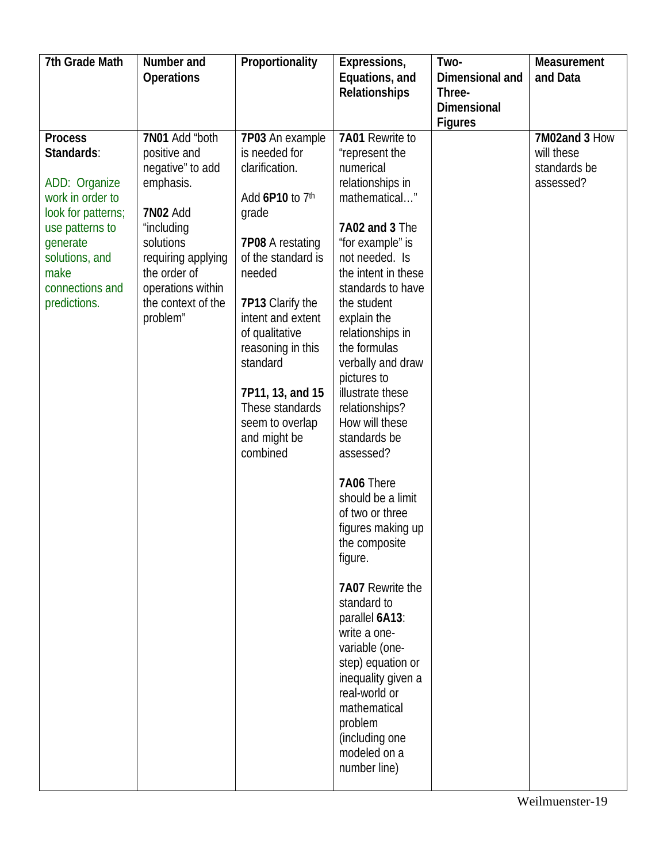| 7th Grade Math     | Number and         | Proportionality         | Expressions,        | Two-            | Measurement   |
|--------------------|--------------------|-------------------------|---------------------|-----------------|---------------|
|                    | <b>Operations</b>  |                         | Equations, and      | Dimensional and | and Data      |
|                    |                    |                         | Relationships       | Three-          |               |
|                    |                    |                         |                     | Dimensional     |               |
|                    |                    |                         |                     | <b>Figures</b>  |               |
| <b>Process</b>     | 7N01 Add "both     | 7P03 An example         | 7A01 Rewrite to     |                 | 7M02and 3 How |
| Standards:         | positive and       | is needed for           | "represent the      |                 | will these    |
|                    | negative" to add   | clarification.          | numerical           |                 | standards be  |
| ADD: Organize      | emphasis.          |                         | relationships in    |                 | assessed?     |
| work in order to   |                    | Add 6P10 to 7th         | mathematical"       |                 |               |
| look for patterns; | <b>7N02 Add</b>    | grade                   |                     |                 |               |
| use patterns to    | "including         |                         | 7A02 and 3 The      |                 |               |
| generate           | solutions          | <b>7P08 A restating</b> | "for example" is    |                 |               |
| solutions, and     | requiring applying | of the standard is      | not needed. Is      |                 |               |
| make               | the order of       | needed                  | the intent in these |                 |               |
| connections and    | operations within  |                         | standards to have   |                 |               |
| predictions.       | the context of the | 7P13 Clarify the        | the student         |                 |               |
|                    | problem"           | intent and extent       | explain the         |                 |               |
|                    |                    | of qualitative          | relationships in    |                 |               |
|                    |                    | reasoning in this       | the formulas        |                 |               |
|                    |                    | standard                | verbally and draw   |                 |               |
|                    |                    |                         | pictures to         |                 |               |
|                    |                    | 7P11, 13, and 15        | illustrate these    |                 |               |
|                    |                    | These standards         | relationships?      |                 |               |
|                    |                    | seem to overlap         | How will these      |                 |               |
|                    |                    | and might be            | standards be        |                 |               |
|                    |                    | combined                | assessed?           |                 |               |
|                    |                    |                         | 7A06 There          |                 |               |
|                    |                    |                         | should be a limit   |                 |               |
|                    |                    |                         | of two or three     |                 |               |
|                    |                    |                         | figures making up   |                 |               |
|                    |                    |                         | the composite       |                 |               |
|                    |                    |                         | figure.             |                 |               |
|                    |                    |                         |                     |                 |               |
|                    |                    |                         | 7A07 Rewrite the    |                 |               |
|                    |                    |                         | standard to         |                 |               |
|                    |                    |                         | parallel 6A13:      |                 |               |
|                    |                    |                         | write a one-        |                 |               |
|                    |                    |                         | variable (one-      |                 |               |
|                    |                    |                         | step) equation or   |                 |               |
|                    |                    |                         | inequality given a  |                 |               |
|                    |                    |                         | real-world or       |                 |               |
|                    |                    |                         | mathematical        |                 |               |
|                    |                    |                         | problem             |                 |               |
|                    |                    |                         | (including one      |                 |               |
|                    |                    |                         | modeled on a        |                 |               |
|                    |                    |                         | number line)        |                 |               |
|                    |                    |                         |                     |                 |               |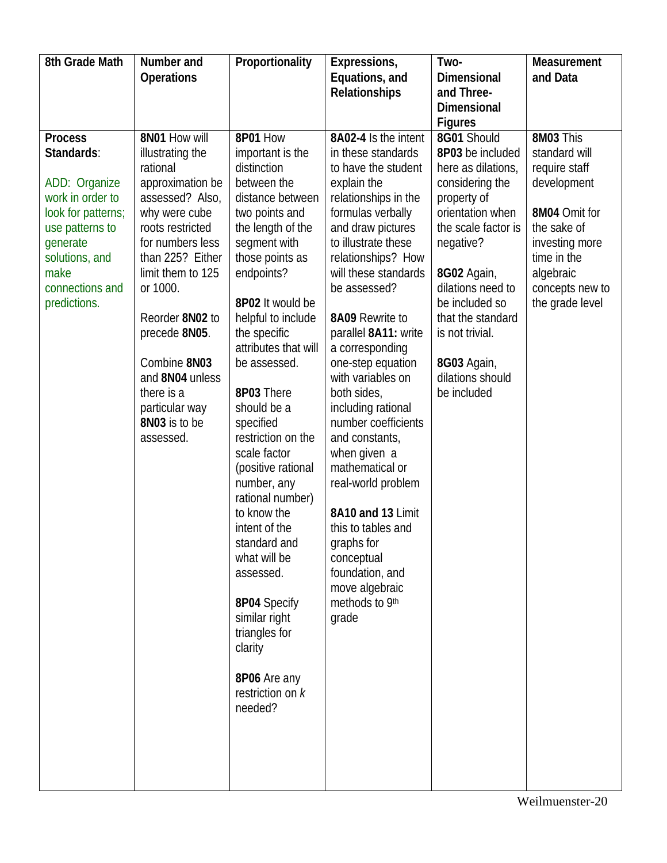| 8th Grade Math                                                                                                                     | Number and                                                                                                                                                                                                                                                         | Proportionality                                                                                                                                                                                                                                                                                                                                                                                                                                                                                                                              | Expressions,                                                                                                                                                                                                                                                                                                                                                                                                                                                                                                                              | Two-                                                                                                                                                                                                                | Measurement                                                                                                      |
|------------------------------------------------------------------------------------------------------------------------------------|--------------------------------------------------------------------------------------------------------------------------------------------------------------------------------------------------------------------------------------------------------------------|----------------------------------------------------------------------------------------------------------------------------------------------------------------------------------------------------------------------------------------------------------------------------------------------------------------------------------------------------------------------------------------------------------------------------------------------------------------------------------------------------------------------------------------------|-------------------------------------------------------------------------------------------------------------------------------------------------------------------------------------------------------------------------------------------------------------------------------------------------------------------------------------------------------------------------------------------------------------------------------------------------------------------------------------------------------------------------------------------|---------------------------------------------------------------------------------------------------------------------------------------------------------------------------------------------------------------------|------------------------------------------------------------------------------------------------------------------|
|                                                                                                                                    | <b>Operations</b>                                                                                                                                                                                                                                                  |                                                                                                                                                                                                                                                                                                                                                                                                                                                                                                                                              | Equations, and                                                                                                                                                                                                                                                                                                                                                                                                                                                                                                                            | <b>Dimensional</b>                                                                                                                                                                                                  | and Data                                                                                                         |
|                                                                                                                                    |                                                                                                                                                                                                                                                                    |                                                                                                                                                                                                                                                                                                                                                                                                                                                                                                                                              | <b>Relationships</b>                                                                                                                                                                                                                                                                                                                                                                                                                                                                                                                      | and Three-<br><b>Dimensional</b>                                                                                                                                                                                    |                                                                                                                  |
|                                                                                                                                    |                                                                                                                                                                                                                                                                    |                                                                                                                                                                                                                                                                                                                                                                                                                                                                                                                                              |                                                                                                                                                                                                                                                                                                                                                                                                                                                                                                                                           | <b>Figures</b>                                                                                                                                                                                                      |                                                                                                                  |
| <b>Process</b><br>Standards:<br>ADD: Organize                                                                                      | 8N01 How will<br>illustrating the<br>rational<br>approximation be                                                                                                                                                                                                  | 8P01 How<br>important is the<br>distinction<br>between the                                                                                                                                                                                                                                                                                                                                                                                                                                                                                   | 8A02-4 Is the intent<br>in these standards<br>to have the student<br>explain the                                                                                                                                                                                                                                                                                                                                                                                                                                                          | 8G01 Should<br>8P03 be included<br>here as dilations,<br>considering the                                                                                                                                            | 8M03 This<br>standard will<br>require staff<br>development                                                       |
| work in order to<br>look for patterns;<br>use patterns to<br>generate<br>solutions, and<br>make<br>connections and<br>predictions. | assessed? Also,<br>why were cube<br>roots restricted<br>for numbers less<br>than 225? Either<br>limit them to 125<br>or 1000.<br>Reorder 8N02 to<br>precede 8N05.<br>Combine 8N03<br>and 8N04 unless<br>there is a<br>particular way<br>8N03 is to be<br>assessed. | distance between<br>two points and<br>the length of the<br>segment with<br>those points as<br>endpoints?<br>8P02 It would be<br>helpful to include<br>the specific<br>attributes that will<br>be assessed.<br>8P03 There<br>should be a<br>specified<br>restriction on the<br>scale factor<br>(positive rational<br>number, any<br>rational number)<br>to know the<br>intent of the<br>standard and<br>what will be<br>assessed.<br>8P04 Specify<br>similar right<br>triangles for<br>clarity<br>8P06 Are any<br>restriction on k<br>needed? | relationships in the<br>formulas verbally<br>and draw pictures<br>to illustrate these<br>relationships? How<br>will these standards<br>be assessed?<br>8A09 Rewrite to<br>parallel 8A11: write<br>a corresponding<br>one-step equation<br>with variables on<br>both sides,<br>including rational<br>number coefficients<br>and constants,<br>when given a<br>mathematical or<br>real-world problem<br>8A10 and 13 Limit<br>this to tables and<br>graphs for<br>conceptual<br>foundation, and<br>move algebraic<br>methods to 9th<br>grade | property of<br>orientation when<br>the scale factor is<br>negative?<br>8G02 Again,<br>dilations need to<br>be included so<br>that the standard<br>is not trivial.<br>8G03 Again,<br>dilations should<br>be included | 8M04 Omit for<br>the sake of<br>investing more<br>time in the<br>algebraic<br>concepts new to<br>the grade level |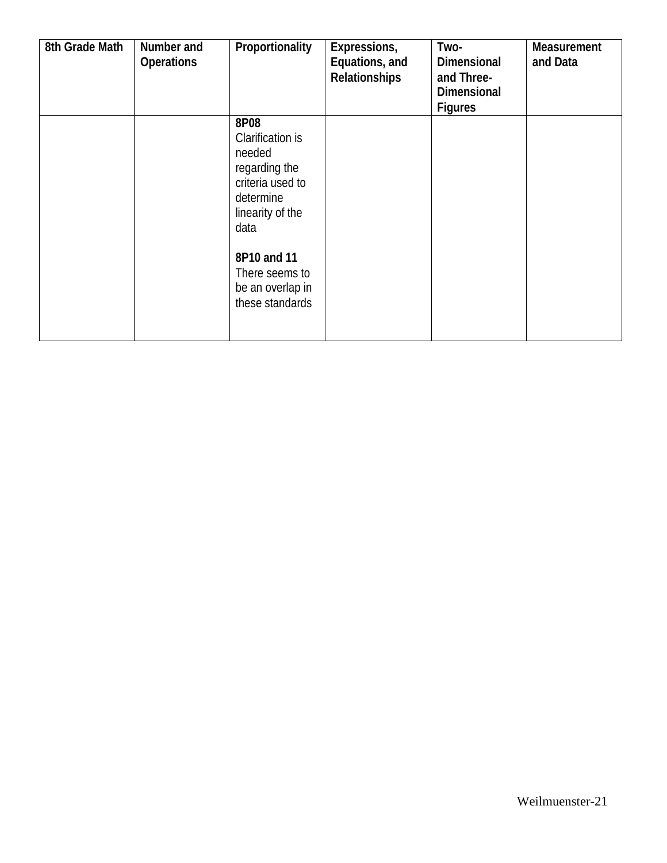| 8th Grade Math | Number and<br><b>Operations</b> | Proportionality                                                                                                  | Expressions,<br>Equations, and<br>Relationships | Two-<br><b>Dimensional</b><br>and Three-<br>Dimensional<br><b>Figures</b> | Measurement<br>and Data |
|----------------|---------------------------------|------------------------------------------------------------------------------------------------------------------|-------------------------------------------------|---------------------------------------------------------------------------|-------------------------|
|                |                                 | 8P08<br>Clarification is<br>needed<br>regarding the<br>criteria used to<br>determine<br>linearity of the<br>data |                                                 |                                                                           |                         |
|                |                                 | 8P10 and 11<br>There seems to<br>be an overlap in<br>these standards                                             |                                                 |                                                                           |                         |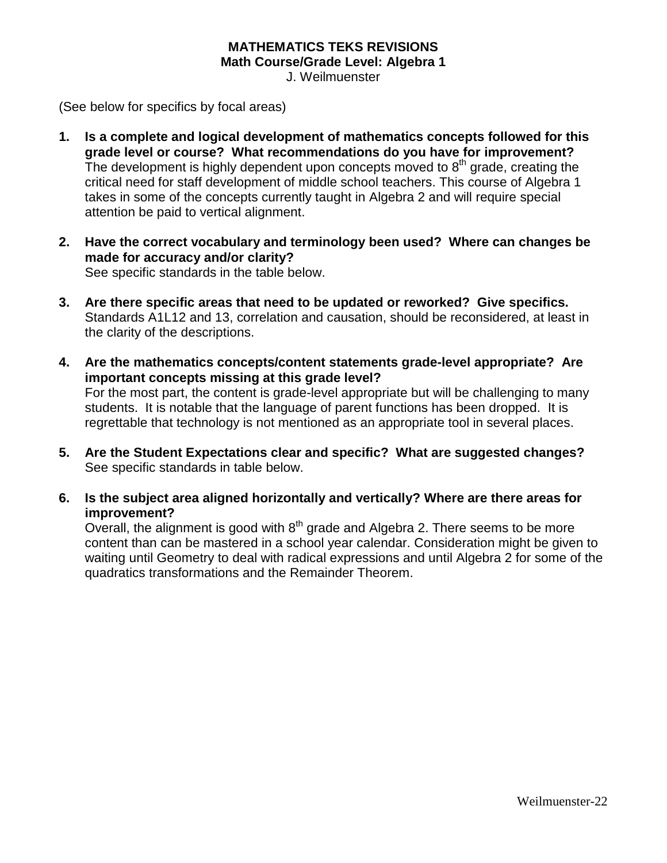### **MATHEMATICS TEKS REVISIONS Math Course/Grade Level: Algebra 1**

J. Weilmuenster

(See below for specifics by focal areas)

- **1. Is a complete and logical development of mathematics concepts followed for this grade level or course? What recommendations do you have for improvement?** The development is highly dependent upon concepts moved to  $8<sup>th</sup>$  grade, creating the critical need for staff development of middle school teachers. This course of Algebra 1 takes in some of the concepts currently taught in Algebra 2 and will require special attention be paid to vertical alignment.
- **2. Have the correct vocabulary and terminology been used? Where can changes be made for accuracy and/or clarity?** See specific standards in the table below.
- **3. Are there specific areas that need to be updated or reworked? Give specifics.** Standards A1L12 and 13, correlation and causation, should be reconsidered, at least in the clarity of the descriptions.
- **4. Are the mathematics concepts/content statements grade-level appropriate? Are important concepts missing at this grade level?** For the most part, the content is grade-level appropriate but will be challenging to many students. It is notable that the language of parent functions has been dropped. It is regrettable that technology is not mentioned as an appropriate tool in several places.
- **5. Are the Student Expectations clear and specific? What are suggested changes?** See specific standards in table below.
- **6. Is the subject area aligned horizontally and vertically? Where are there areas for improvement?**

Overall, the alignment is good with  $8<sup>th</sup>$  grade and Algebra 2. There seems to be more content than can be mastered in a school year calendar. Consideration might be given to waiting until Geometry to deal with radical expressions and until Algebra 2 for some of the quadratics transformations and the Remainder Theorem.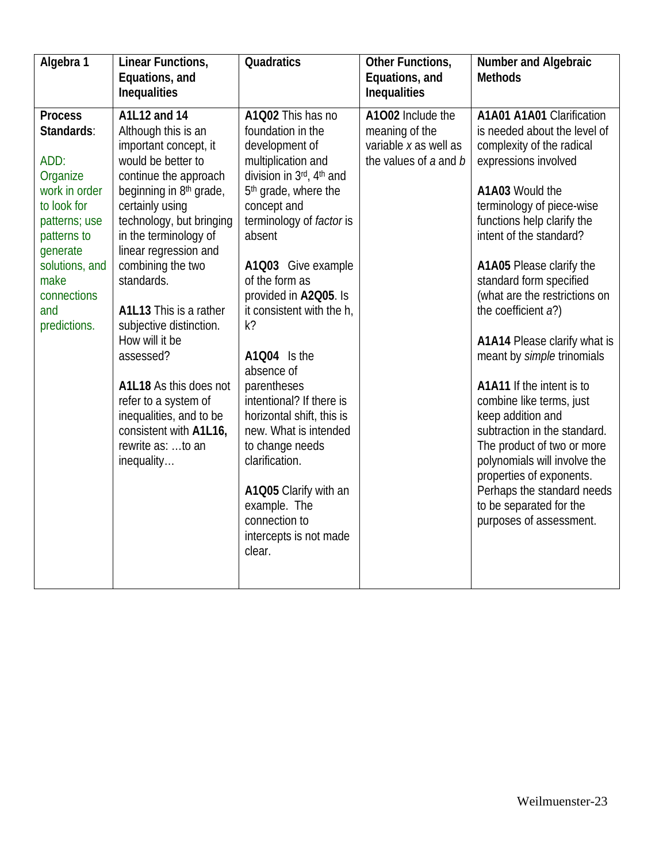| Algebra 1           | Linear Functions,<br>Equations, and<br>Inequalities          | Quadratics                                     | Other Functions,<br>Equations, and<br>Inequalities | <b>Number and Algebraic</b><br><b>Methods</b>            |
|---------------------|--------------------------------------------------------------|------------------------------------------------|----------------------------------------------------|----------------------------------------------------------|
| <b>Process</b>      | A1L12 and 14                                                 | A1Q02 This has no                              | A1002 Include the                                  | A1A01 A1A01 Clarification                                |
| Standards:          | Although this is an                                          | foundation in the                              | meaning of the                                     | is needed about the level of                             |
|                     | important concept, it                                        | development of                                 | variable x as well as                              | complexity of the radical                                |
| ADD:<br>Organize    | would be better to                                           | multiplication and<br>division in 3rd, 4th and | the values of a and b                              | expressions involved                                     |
| work in order       | continue the approach<br>beginning in 8 <sup>th</sup> grade, | 5 <sup>th</sup> grade, where the               |                                                    | A1A03 Would the                                          |
| to look for         | certainly using                                              | concept and                                    |                                                    | terminology of piece-wise                                |
| patterns; use       | technology, but bringing                                     | terminology of factor is                       |                                                    | functions help clarify the                               |
| patterns to         | in the terminology of                                        | absent                                         |                                                    | intent of the standard?                                  |
| generate            | linear regression and                                        |                                                |                                                    |                                                          |
| solutions, and      | combining the two                                            | A1Q03 Give example                             |                                                    | A1A05 Please clarify the                                 |
| make<br>connections | standards.                                                   | of the form as<br>provided in A2Q05. Is        |                                                    | standard form specified<br>(what are the restrictions on |
| and                 | A1L13 This is a rather                                       | it consistent with the h,                      |                                                    | the coefficient a?)                                      |
| predictions.        | subjective distinction.                                      | $k$ ?                                          |                                                    |                                                          |
|                     | How will it be                                               |                                                |                                                    | A1A14 Please clarify what is                             |
|                     | assessed?                                                    | A1Q04 Is the                                   |                                                    | meant by simple trinomials                               |
|                     | A1L18 As this does not                                       | absence of<br>parentheses                      |                                                    | A1A11 If the intent is to                                |
|                     | refer to a system of                                         | intentional? If there is                       |                                                    | combine like terms, just                                 |
|                     | inequalities, and to be                                      | horizontal shift, this is                      |                                                    | keep addition and                                        |
|                     | consistent with A1L16,                                       | new. What is intended                          |                                                    | subtraction in the standard.                             |
|                     | rewrite as: to an                                            | to change needs                                |                                                    | The product of two or more                               |
|                     | inequality                                                   | clarification.                                 |                                                    | polynomials will involve the                             |
|                     |                                                              |                                                |                                                    | properties of exponents.                                 |
|                     |                                                              | A1Q05 Clarify with an<br>example. The          |                                                    | Perhaps the standard needs<br>to be separated for the    |
|                     |                                                              | connection to                                  |                                                    | purposes of assessment.                                  |
|                     |                                                              | intercepts is not made                         |                                                    |                                                          |
|                     |                                                              | clear.                                         |                                                    |                                                          |
|                     |                                                              |                                                |                                                    |                                                          |
|                     |                                                              |                                                |                                                    |                                                          |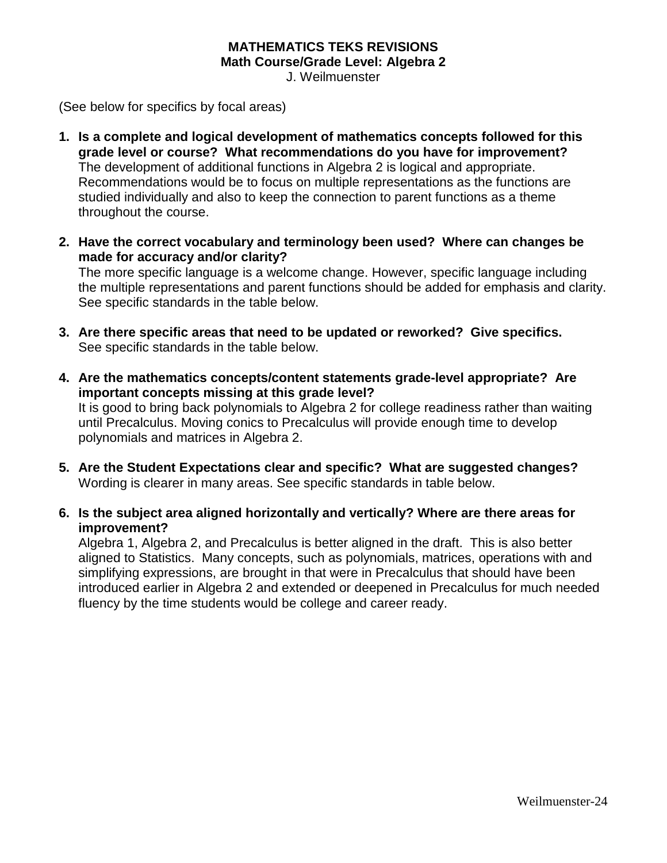#### **MATHEMATICS TEKS REVISIONS Math Course/Grade Level: Algebra 2**

J. Weilmuenster

(See below for specifics by focal areas)

- **1. Is a complete and logical development of mathematics concepts followed for this grade level or course? What recommendations do you have for improvement?**  The development of additional functions in Algebra 2 is logical and appropriate. Recommendations would be to focus on multiple representations as the functions are studied individually and also to keep the connection to parent functions as a theme throughout the course.
- **2. Have the correct vocabulary and terminology been used? Where can changes be made for accuracy and/or clarity?**

The more specific language is a welcome change. However, specific language including the multiple representations and parent functions should be added for emphasis and clarity. See specific standards in the table below.

- **3. Are there specific areas that need to be updated or reworked? Give specifics.** See specific standards in the table below.
- **4. Are the mathematics concepts/content statements grade-level appropriate? Are important concepts missing at this grade level?** It is good to bring back polynomials to Algebra 2 for college readiness rather than waiting until Precalculus. Moving conics to Precalculus will provide enough time to develop polynomials and matrices in Algebra 2.
- **5. Are the Student Expectations clear and specific? What are suggested changes?** Wording is clearer in many areas. See specific standards in table below.
- **6. Is the subject area aligned horizontally and vertically? Where are there areas for improvement?**

Algebra 1, Algebra 2, and Precalculus is better aligned in the draft. This is also better aligned to Statistics. Many concepts, such as polynomials, matrices, operations with and simplifying expressions, are brought in that were in Precalculus that should have been introduced earlier in Algebra 2 and extended or deepened in Precalculus for much needed fluency by the time students would be college and career ready.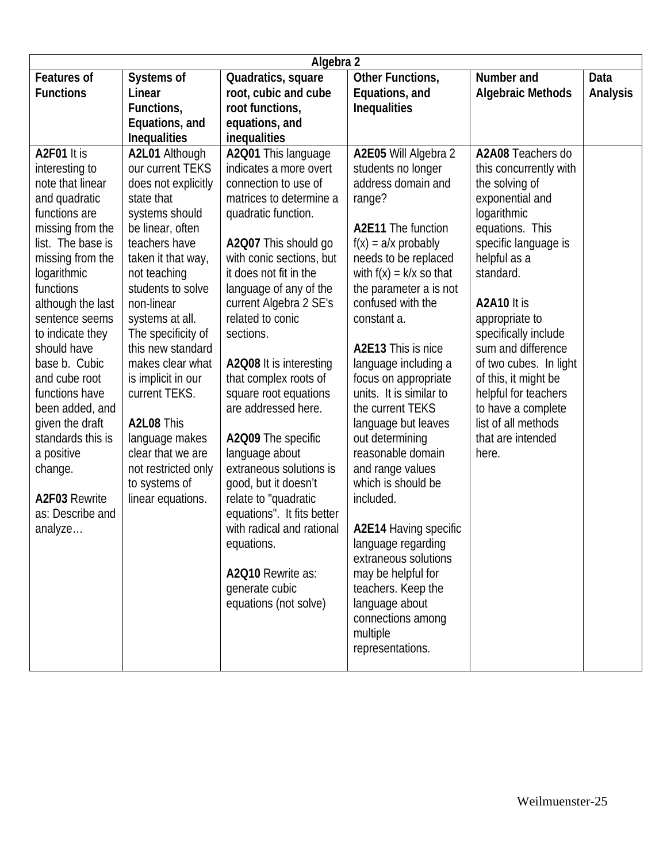| Algebra 2          |                     |                                                    |                                            |                          |          |
|--------------------|---------------------|----------------------------------------------------|--------------------------------------------|--------------------------|----------|
| <b>Features of</b> | Systems of          | Quadratics, square                                 | Other Functions,                           | Number and               | Data     |
| <b>Functions</b>   | Linear              | root, cubic and cube                               | Equations, and                             | <b>Algebraic Methods</b> | Analysis |
|                    | Functions,          | root functions,                                    | <b>Inequalities</b>                        |                          |          |
|                    | Equations, and      | equations, and                                     |                                            |                          |          |
|                    | Inequalities        | inequalities                                       |                                            |                          |          |
| A2F01 It is        | A2L01 Although      | A2Q01 This language                                | A2E05 Will Algebra 2                       | A2A08 Teachers do        |          |
| interesting to     | our current TEKS    | indicates a more overt                             | students no longer                         | this concurrently with   |          |
| note that linear   | does not explicitly | connection to use of                               | address domain and                         | the solving of           |          |
| and quadratic      | state that          | matrices to determine a                            | range?                                     | exponential and          |          |
| functions are      | systems should      | quadratic function.                                |                                            | logarithmic              |          |
| missing from the   | be linear, often    |                                                    | <b>A2E11</b> The function                  | equations. This          |          |
| list. The base is  | teachers have       | A2Q07 This should go                               | $f(x) = a/x$ probably                      | specific language is     |          |
| missing from the   | taken it that way,  | with conic sections, but                           | needs to be replaced                       | helpful as a             |          |
| logarithmic        | not teaching        | it does not fit in the                             | with $f(x) = k/x$ so that                  | standard.                |          |
| functions          | students to solve   | language of any of the                             | the parameter a is not                     |                          |          |
| although the last  | non-linear          | current Algebra 2 SE's                             | confused with the                          | A2A10 It is              |          |
| sentence seems     | systems at all.     | related to conic                                   | constant a.                                | appropriate to           |          |
| to indicate they   | The specificity of  | sections.                                          |                                            | specifically include     |          |
| should have        | this new standard   |                                                    | A2E13 This is nice                         | sum and difference       |          |
| base b. Cubic      | makes clear what    | A2Q08 It is interesting                            | language including a                       | of two cubes. In light   |          |
| and cube root      | is implicit in our  | that complex roots of                              | focus on appropriate                       | of this, it might be     |          |
| functions have     | current TEKS.       | square root equations                              | units. It is similar to                    | helpful for teachers     |          |
| been added, and    |                     | are addressed here.                                | the current TEKS                           | to have a complete       |          |
| given the draft    | A2L08 This          |                                                    | language but leaves                        | list of all methods      |          |
| standards this is  | language makes      | A2Q09 The specific                                 | out determining                            | that are intended        |          |
| a positive         | clear that we are   | language about                                     | reasonable domain                          | here.                    |          |
| change.            | not restricted only | extraneous solutions is                            | and range values                           |                          |          |
| A2F03 Rewrite      | to systems of       | good, but it doesn't                               | which is should be                         |                          |          |
| as: Describe and   | linear equations.   | relate to "quadratic<br>equations". It fits better | included.                                  |                          |          |
|                    |                     | with radical and rational                          |                                            |                          |          |
| analyze            |                     |                                                    | A2E14 Having specific                      |                          |          |
|                    |                     | equations.                                         | language regarding<br>extraneous solutions |                          |          |
|                    |                     | A2Q10 Rewrite as:                                  | may be helpful for                         |                          |          |
|                    |                     | generate cubic                                     | teachers. Keep the                         |                          |          |
|                    |                     | equations (not solve)                              | language about                             |                          |          |
|                    |                     |                                                    | connections among                          |                          |          |
|                    |                     |                                                    | multiple                                   |                          |          |
|                    |                     |                                                    | representations.                           |                          |          |
|                    |                     |                                                    |                                            |                          |          |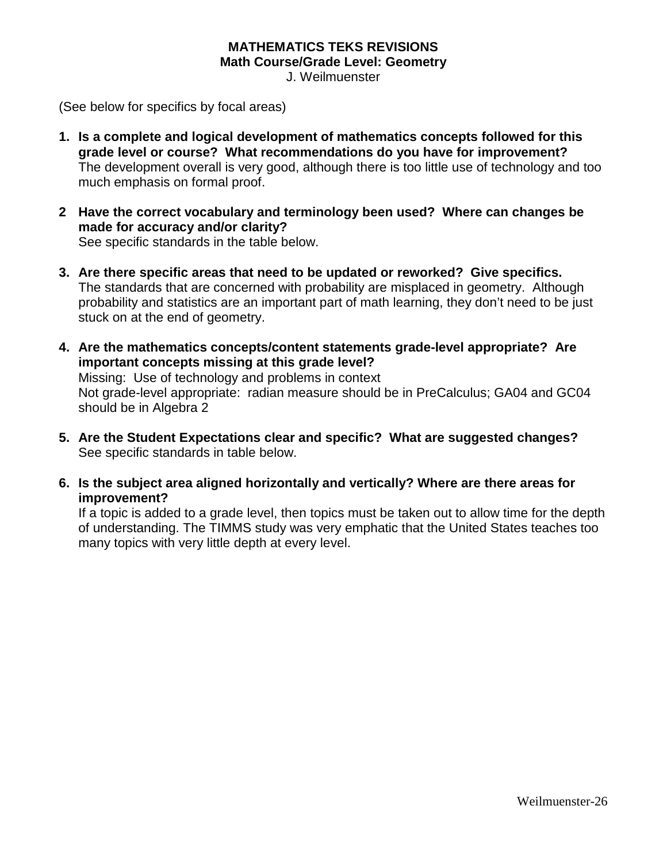### **MATHEMATICS TEKS REVISIONS Math Course/Grade Level: Geometry**

J. Weilmuenster

(See below for specifics by focal areas)

- **1. Is a complete and logical development of mathematics concepts followed for this grade level or course? What recommendations do you have for improvement?**  The development overall is very good, although there is too little use of technology and too much emphasis on formal proof.
- **2 Have the correct vocabulary and terminology been used? Where can changes be made for accuracy and/or clarity?** See specific standards in the table below.
- **3. Are there specific areas that need to be updated or reworked? Give specifics.** The standards that are concerned with probability are misplaced in geometry. Although probability and statistics are an important part of math learning, they don't need to be just stuck on at the end of geometry.
- **4. Are the mathematics concepts/content statements grade-level appropriate? Are important concepts missing at this grade level?** Missing: Use of technology and problems in context Not grade-level appropriate: radian measure should be in PreCalculus; GA04 and GC04 should be in Algebra 2
- **5. Are the Student Expectations clear and specific? What are suggested changes?** See specific standards in table below.
- **6. Is the subject area aligned horizontally and vertically? Where are there areas for improvement?**

If a topic is added to a grade level, then topics must be taken out to allow time for the depth of understanding. The TIMMS study was very emphatic that the United States teaches too many topics with very little depth at every level.